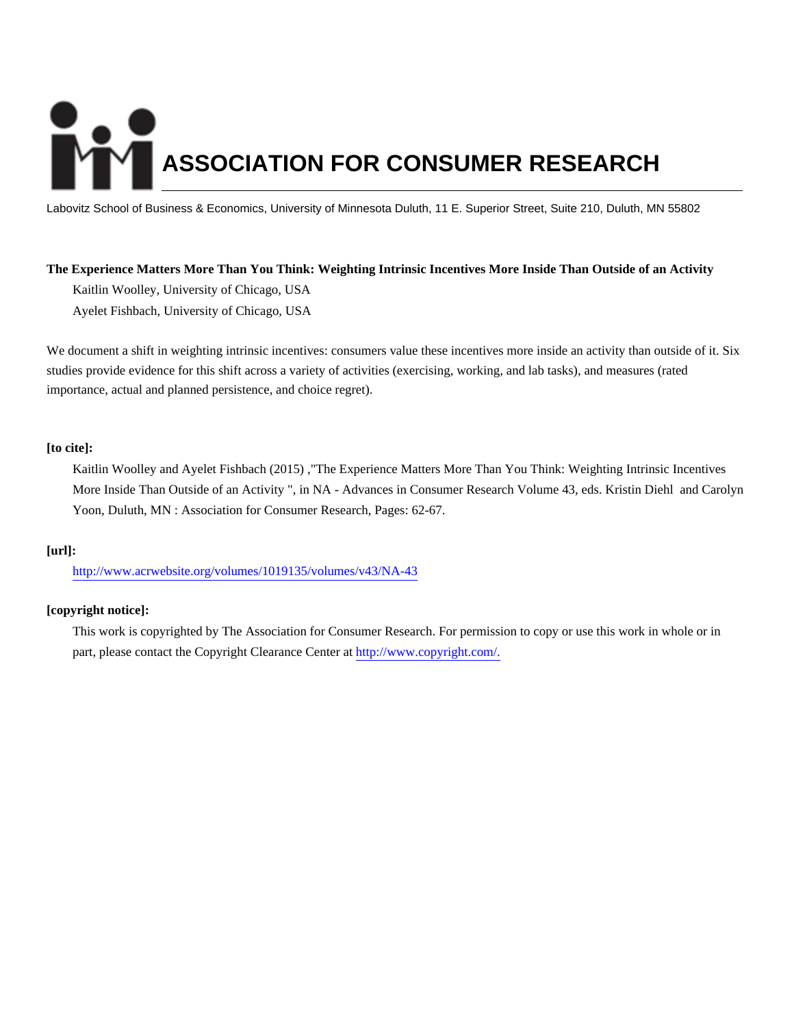# **ASSOCIATION FOR CONSUMER RESEARCH**

Labovitz School of Business & Economics, University of Minnesota Duluth, 11 E. Superior Street, Suite 210, Duluth, MN 55802

# **The Experience Matters More Than You Think: Weighting Intrinsic Incentives More Inside Than Outside of an Activity**

Kaitlin Woolley, University of Chicago, USA

Ayelet Fishbach, University of Chicago, USA

We document a shift in weighting intrinsic incentives: consumers value these incentives more inside an activity than outside of it. Six studies provide evidence for this shift across a variety of activities (exercising, working, and lab tasks), and measures (rated importance, actual and planned persistence, and choice regret).

# **[to cite]:**

Kaitlin Woolley and Ayelet Fishbach (2015) ,"The Experience Matters More Than You Think: Weighting Intrinsic Incentives More Inside Than Outside of an Activity ", in NA - Advances in Consumer Research Volume 43, eds. Kristin Diehl and Carolyn Yoon, Duluth, MN : Association for Consumer Research, Pages: 62-67.

# **[url]:**

<http://www.acrwebsite.org/volumes/1019135/volumes/v43/NA-43>

# **[copyright notice]:**

This work is copyrighted by The Association for Consumer Research. For permission to copy or use this work in whole or in part, please contact the Copyright Clearance Center at [http://www.copyright.com/.](http://www.copyright.com/)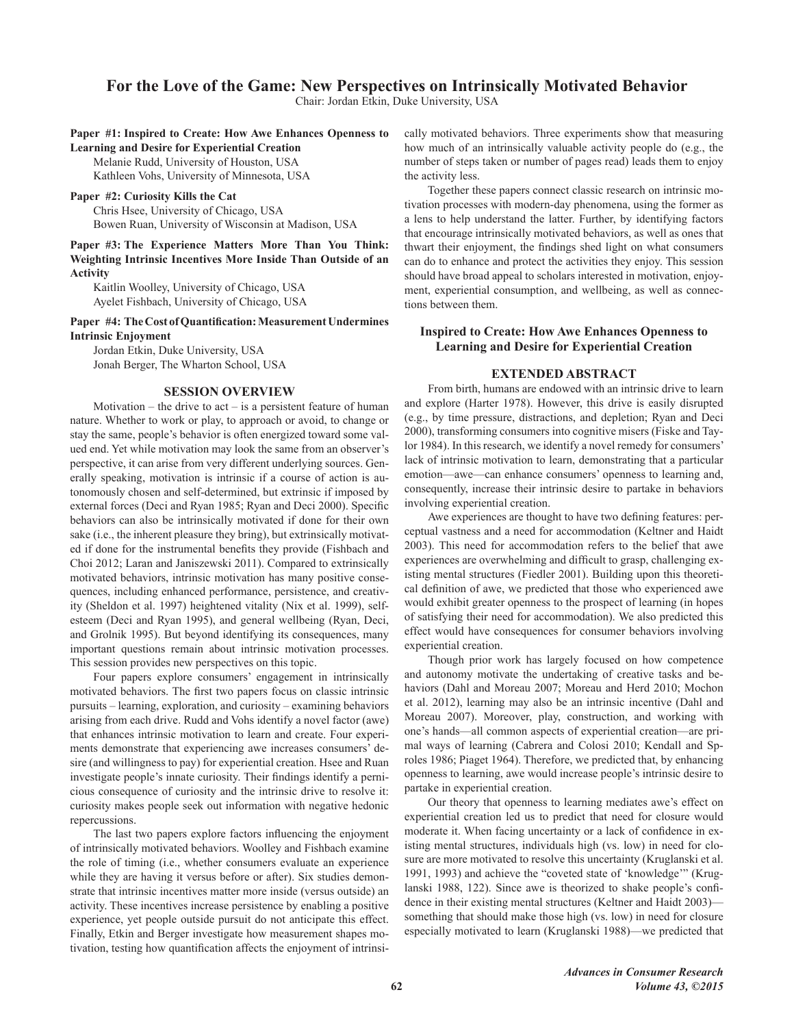# For the Love of the Game: New Perspectives on Intrinsically Motivated Behavior

Chair: Jordan Etkin, Duke University, USA

## Paper #1: Inspired to Create: How Awe Enhances Openness to **Learning and Desire for Experiential Creation**

Melanie Rudd, University of Houston, USA

Kathleen Vohs, University of Minnesota, USA

## Paper #2: Curiosity Kills the Cat

Chris Hsee, University of Chicago, USA Bowen Ruan, University of Wisconsin at Madison, USA

Paper #3: The Experience Matters More Than You Think: Weighting Intrinsic Incentives More Inside Than Outside of an **Activity** 

Kaitlin Woolley, University of Chicago, USA Ayelet Fishbach, University of Chicago, USA

Paper #4: The Cost of Quantification: Measurement Undermines **Intrinsic Enjoyment** 

Jordan Etkin, Duke University, USA Jonah Berger, The Wharton School, USA

## **SESSION OVERVIEW**

Motivation – the drive to  $act - is a persistent feature of human$ nature. Whether to work or play, to approach or avoid, to change or stay the same, people's behavior is often energized toward some valued end. Yet while motivation may look the same from an observer's perspective, it can arise from very different underlying sources. Generally speaking, motivation is intrinsic if a course of action is autonomously chosen and self-determined, but extrinsic if imposed by external forces (Deci and Ryan 1985; Ryan and Deci 2000). Specific behaviors can also be intrinsically motivated if done for their own sake (i.e., the inherent pleasure they bring), but extrinsically motivated if done for the instrumental benefits they provide (Fishbach and Choi 2012; Laran and Janiszewski 2011). Compared to extrinsically motivated behaviors, intrinsic motivation has many positive consequences, including enhanced performance, persistence, and creativity (Sheldon et al. 1997) heightened vitality (Nix et al. 1999), selfesteem (Deci and Ryan 1995), and general wellbeing (Ryan, Deci, and Grolnik 1995). But beyond identifying its consequences, many important questions remain about intrinsic motivation processes. This session provides new perspectives on this topic.

Four papers explore consumers' engagement in intrinsically motivated behaviors. The first two papers focus on classic intrinsic pursuits – learning, exploration, and curiosity – examining behaviors arising from each drive. Rudd and Vohs identify a novel factor (awe) that enhances intrinsic motivation to learn and create. Four experiments demonstrate that experiencing awe increases consumers' desire (and willingness to pay) for experiential creation. Hsee and Ruan investigate people's innate curiosity. Their findings identify a pernicious consequence of curiosity and the intrinsic drive to resolve it: curiosity makes people seek out information with negative hedonic repercussions.

The last two papers explore factors influencing the enjoyment of intrinsically motivated behaviors. Woolley and Fishbach examine the role of timing (i.e., whether consumers evaluate an experience while they are having it versus before or after). Six studies demonstrate that intrinsic incentives matter more inside (versus outside) an activity. These incentives increase persistence by enabling a positive experience, yet people outside pursuit do not anticipate this effect. Finally, Etkin and Berger investigate how measurement shapes motivation, testing how quantification affects the enjoyment of intrinsically motivated behaviors. Three experiments show that measuring how much of an intrinsically valuable activity people do (e.g., the number of steps taken or number of pages read) leads them to enjoy the activity less.

Together these papers connect classic research on intrinsic motivation processes with modern-day phenomena, using the former as a lens to help understand the latter. Further, by identifying factors that encourage intrinsically motivated behaviors, as well as ones that thwart their enjoyment, the findings shed light on what consumers can do to enhance and protect the activities they enjoy. This session should have broad appeal to scholars interested in motivation, enjoyment, experiential consumption, and wellbeing, as well as connections between them.

# **Inspired to Create: How Awe Enhances Openness to Learning and Desire for Experiential Creation**

## **EXTENDED ABSTRACT**

From birth, humans are endowed with an intrinsic drive to learn and explore (Harter 1978). However, this drive is easily disrupted (e.g., by time pressure, distractions, and depletion; Ryan and Deci 2000), transforming consumers into cognitive misers (Fiske and Taylor 1984). In this research, we identify a novel remedy for consumers' lack of intrinsic motivation to learn, demonstrating that a particular emotion—awe—can enhance consumers' openness to learning and, consequently, increase their intrinsic desire to partake in behaviors involving experiential creation.

Awe experiences are thought to have two defining features: perceptual vastness and a need for accommodation (Keltner and Haidt 2003). This need for accommodation refers to the belief that awe experiences are overwhelming and difficult to grasp, challenging existing mental structures (Fiedler 2001). Building upon this theoretical definition of awe, we predicted that those who experienced awe would exhibit greater openness to the prospect of learning (in hopes of satisfying their need for accommodation). We also predicted this effect would have consequences for consumer behaviors involving experiential creation.

Though prior work has largely focused on how competence and autonomy motivate the undertaking of creative tasks and behaviors (Dahl and Moreau 2007; Moreau and Herd 2010; Mochon et al. 2012), learning may also be an intrinsic incentive (Dahl and Moreau 2007). Moreover, play, construction, and working with one's hands—all common aspects of experiential creation—are primal ways of learning (Cabrera and Colosi 2010; Kendall and Sproles 1986; Piaget 1964). Therefore, we predicted that, by enhancing openness to learning, awe would increase people's intrinsic desire to partake in experiential creation.

Our theory that openness to learning mediates awe's effect on experiential creation led us to predict that need for closure would moderate it. When facing uncertainty or a lack of confidence in existing mental structures, individuals high (vs. low) in need for closure are more motivated to resolve this uncertainty (Kruglanski et al. 1991, 1993) and achieve the "coveted state of 'knowledge'" (Kruglanski 1988, 122). Since awe is theorized to shake people's confidence in their existing mental structures (Keltner and Haidt 2003) something that should make those high (vs. low) in need for closure especially motivated to learn (Kruglanski 1988)—we predicted that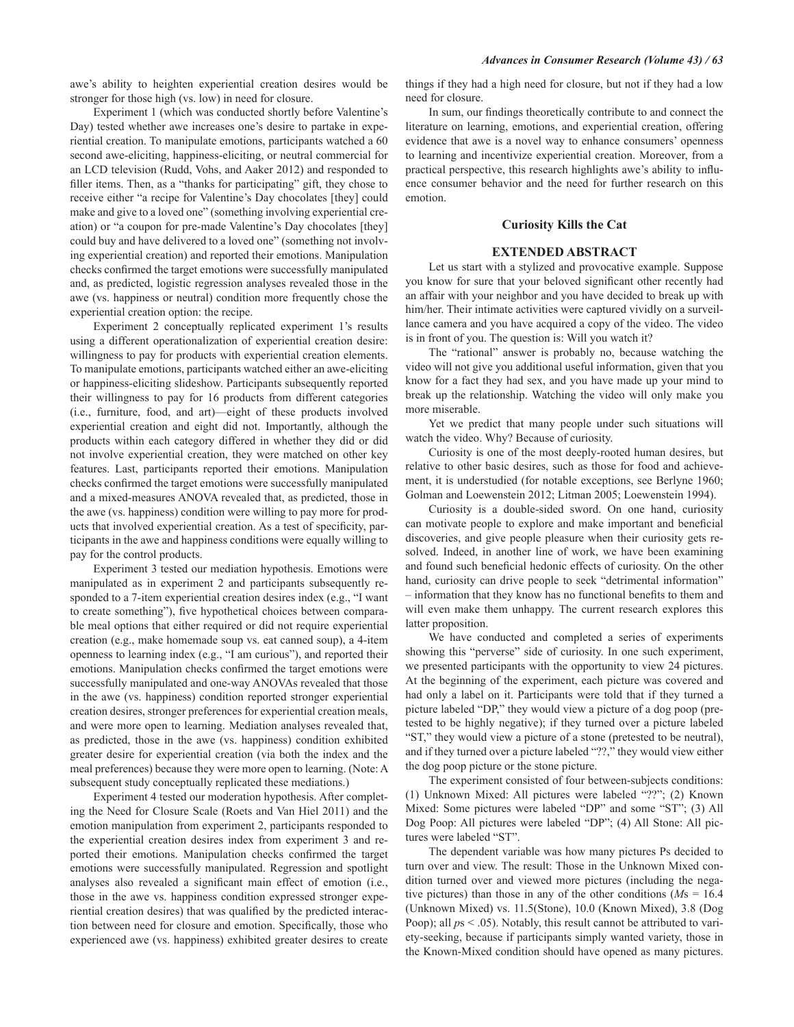awe's ability to heighten experiential creation desires would be stronger for those high (vs. low) in need for closure.

Experiment 1 (which was conducted shortly before Valentine's Day) tested whether awe increases one's desire to partake in experiential creation. To manipulate emotions, participants watched a 60 second awe-eliciting, happiness-eliciting, or neutral commercial for an LCD television (Rudd, Vohs, and Aaker 2012) and responded to filler items. Then, as a "thanks for participating" gift, they chose to receive either "a recipe for Valentine's Day chocolates [they] could make and give to a loved one" (something involving experiential creation) or "a coupon for pre-made Valentine's Day chocolates [they] could buy and have delivered to a loved one" (something not involving experiential creation) and reported their emotions. Manipulation checks confirmed the target emotions were successfully manipulated and, as predicted, logistic regression analyses revealed those in the awe (vs. happiness or neutral) condition more frequently chose the experiential creation option: the recipe.

Experiment 2 conceptually replicated experiment 1's results using a different operationalization of experiential creation desire: willingness to pay for products with experiential creation elements. To manipulate emotions, participants watched either an awe-eliciting or happiness-eliciting slideshow. Participants subsequently reported their willingness to pay for 16 products from different categories (i.e., furniture, food, and art)-eight of these products involved experiential creation and eight did not. Importantly, although the products within each category differed in whether they did or did not involve experiential creation, they were matched on other key features. Last, participants reported their emotions. Manipulation checks confirmed the target emotions were successfully manipulated and a mixed-measures ANOVA revealed that, as predicted, those in the awe (vs. happiness) condition were willing to pay more for products that involved experiential creation. As a test of specificity, participants in the awe and happiness conditions were equally willing to pay for the control products.

Experiment 3 tested our mediation hypothesis. Emotions were manipulated as in experiment 2 and participants subsequently responded to a 7-item experiential creation desires index (e.g., "I want to create something"), five hypothetical choices between comparable meal options that either required or did not require experiential creation (e.g., make homemade soup vs. eat canned soup), a 4-item openness to learning index (e.g., "I am curious"), and reported their emotions. Manipulation checks confirmed the target emotions were successfully manipulated and one-way ANOVAs revealed that those in the awe (vs. happiness) condition reported stronger experiential creation desires, stronger preferences for experiential creation meals, and were more open to learning. Mediation analyses revealed that, as predicted, those in the awe (vs. happiness) condition exhibited greater desire for experiential creation (via both the index and the meal preferences) because they were more open to learning. (Note: A subsequent study conceptually replicated these mediations.)

Experiment 4 tested our moderation hypothesis. After completing the Need for Closure Scale (Roets and Van Hiel 2011) and the emotion manipulation from experiment 2, participants responded to the experiential creation desires index from experiment 3 and reported their emotions. Manipulation checks confirmed the target emotions were successfully manipulated. Regression and spotlight analyses also revealed a significant main effect of emotion (i.e., those in the awe vs. happiness condition expressed stronger experiential creation desires) that was qualified by the predicted interaction between need for closure and emotion. Specifically, those who experienced awe (vs. happiness) exhibited greater desires to create things if they had a high need for closure, but not if they had a low need for closure.

In sum, our findings theoretically contribute to and connect the literature on learning, emotions, and experiential creation, offering evidence that awe is a novel way to enhance consumers' openness to learning and incentivize experiential creation. Moreover, from a practical perspective, this research highlights awe's ability to influence consumer behavior and the need for further research on this emotion

## **Curiosity Kills the Cat**

### **EXTENDED ABSTRACT**

Let us start with a stylized and provocative example. Suppose you know for sure that your beloved significant other recently had an affair with your neighbor and you have decided to break up with him/her. Their intimate activities were captured vividly on a surveillance camera and you have acquired a copy of the video. The video is in front of you. The question is: Will you watch it?

The "rational" answer is probably no, because watching the video will not give you additional useful information, given that you know for a fact they had sex, and you have made up your mind to break up the relationship. Watching the video will only make you more miserable.

Yet we predict that many people under such situations will watch the video. Why? Because of curiosity.

Curiosity is one of the most deeply-rooted human desires, but relative to other basic desires, such as those for food and achievement, it is understudied (for notable exceptions, see Berlyne 1960; Golman and Loewenstein 2012; Litman 2005; Loewenstein 1994).

Curiosity is a double-sided sword. On one hand, curiosity can motivate people to explore and make important and beneficial discoveries, and give people pleasure when their curiosity gets resolved. Indeed, in another line of work, we have been examining and found such beneficial hedonic effects of curiosity. On the other hand, curiosity can drive people to seek "detrimental information" - information that they know has no functional benefits to them and will even make them unhappy. The current research explores this latter proposition.

We have conducted and completed a series of experiments showing this "perverse" side of curiosity. In one such experiment, we presented participants with the opportunity to view 24 pictures. At the beginning of the experiment, each picture was covered and had only a label on it. Participants were told that if they turned a picture labeled "DP," they would view a picture of a dog poop (pretested to be highly negative); if they turned over a picture labeled "ST," they would view a picture of a stone (pretested to be neutral), and if they turned over a picture labeled "??," they would view either the dog poop picture or the stone picture.

The experiment consisted of four between-subjects conditions: (1) Unknown Mixed: All pictures were labeled "??"; (2) Known Mixed: Some pictures were labeled "DP" and some "ST"; (3) All Dog Poop: All pictures were labeled "DP"; (4) All Stone: All pictures were labeled "ST".

The dependent variable was how many pictures Ps decided to turn over and view. The result: Those in the Unknown Mixed condition turned over and viewed more pictures (including the negative pictures) than those in any of the other conditions ( $Ms = 16.4$ (Unknown Mixed) vs. 11.5(Stone), 10.0 (Known Mixed), 3.8 (Dog Poop); all  $ps < .05$ ). Notably, this result cannot be attributed to variety-seeking, because if participants simply wanted variety, those in the Known-Mixed condition should have opened as many pictures.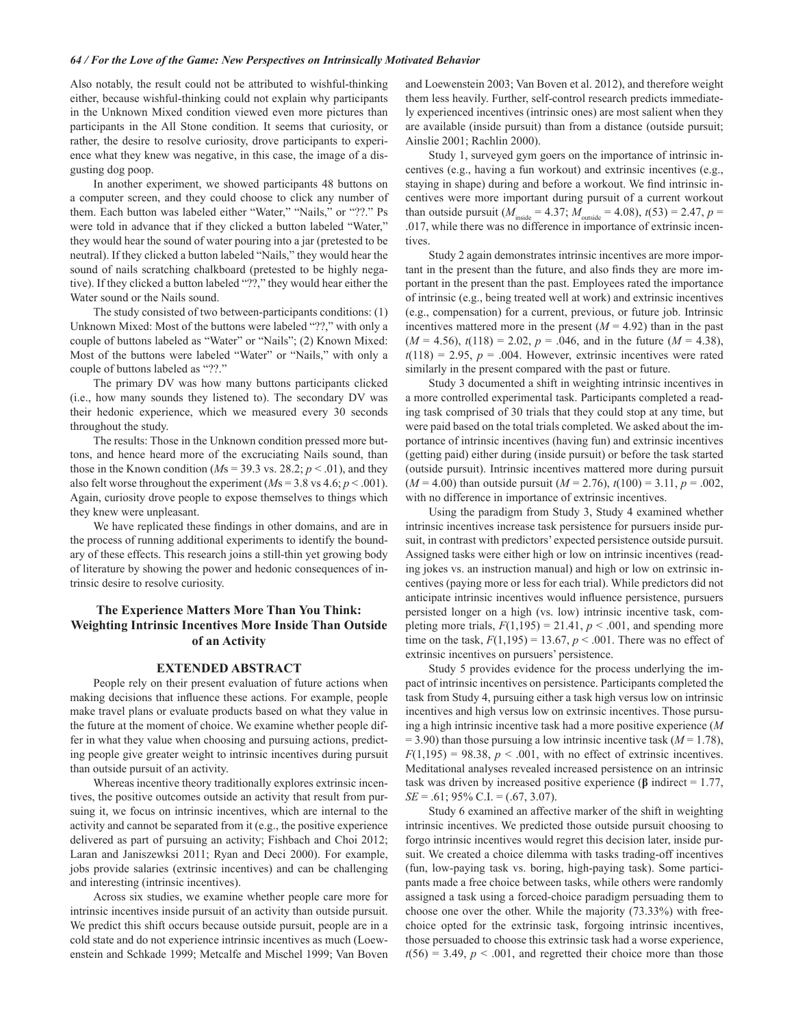Also notably, the result could not be attributed to wishful-thinking either, because wishful-thinking could not explain why participants in the Unknown Mixed condition viewed even more pictures than participants in the All Stone condition. It seems that curiosity, or rather, the desire to resolve curiosity, drove participants to experience what they knew was negative, in this case, the image of a disgusting dog poop.

In another experiment, we showed participants 48 buttons on a computer screen, and they could choose to click any number of them. Each button was labeled either "Water," "Nails," or "??." Ps were told in advance that if they clicked a button labeled "Water," they would hear the sound of water pouring into a jar (pretested to be neutral). If they clicked a button labeled "Nails," they would hear the sound of nails scratching chalkboard (pretested to be highly negative). If they clicked a button labeled "??," they would hear either the Water sound or the Nails sound.

The study consisted of two between-participants conditions: (1) Unknown Mixed: Most of the buttons were labeled "??," with only a couple of buttons labeled as "Water" or "Nails"; (2) Known Mixed: Most of the buttons were labeled "Water" or "Nails," with only a couple of buttons labeled as "??."

The primary DV was how many buttons participants clicked (i.e., how many sounds they listened to). The secondary DV was their hedonic experience, which we measured every 30 seconds throughout the study.

The results: Those in the Unknown condition pressed more buttons, and hence heard more of the excruciating Nails sound, than those in the Known condition ( $Ms = 39.3$  vs. 28.2;  $p < .01$ ), and they also felt worse throughout the experiment ( $Ms = 3.8$  vs 4.6;  $p < .001$ ). Again, curiosity drove people to expose themselves to things which they knew were unpleasant.

We have replicated these findings in other domains, and are in the process of running additional experiments to identify the boundary of these effects. This research joins a still-thin yet growing body of literature by showing the power and hedonic consequences of intrinsic desire to resolve curiosity.

# The Experience Matters More Than You Think: **Weighting Intrinsic Incentives More Inside Than Outside** of an Activity

## **EXTENDED ABSTRACT**

People rely on their present evaluation of future actions when making decisions that influence these actions. For example, people make travel plans or evaluate products based on what they value in the future at the moment of choice. We examine whether people differ in what they value when choosing and pursuing actions, predicting people give greater weight to intrinsic incentives during pursuit than outside pursuit of an activity.

Whereas incentive theory traditionally explores extrinsic incentives, the positive outcomes outside an activity that result from pursuing it, we focus on intrinsic incentives, which are internal to the activity and cannot be separated from it (e.g., the positive experience delivered as part of pursuing an activity; Fishbach and Choi 2012; Laran and Janiszewksi 2011; Ryan and Deci 2000). For example, jobs provide salaries (extrinsic incentives) and can be challenging and interesting (intrinsic incentives).

Across six studies, we examine whether people care more for intrinsic incentives inside pursuit of an activity than outside pursuit. We predict this shift occurs because outside pursuit, people are in a cold state and do not experience intrinsic incentives as much (Loewenstein and Schkade 1999; Metcalfe and Mischel 1999; Van Boven and Loewenstein 2003; Van Boven et al. 2012), and therefore weight them less heavily. Further, self-control research predicts immediately experienced incentives (intrinsic ones) are most salient when they are available (inside pursuit) than from a distance (outside pursuit; Ainslie 2001; Rachlin 2000).

Study 1, surveyed gym goers on the importance of intrinsic incentives (e.g., having a fun workout) and extrinsic incentives (e.g., staying in shape) during and before a workout. We find intrinsic incentives were more important during pursuit of a current workout than outside pursuit ( $M_{\text{inside}} = 4.37$ ;  $M_{\text{outside}} = 4.08$ ),  $t(53) = 2.47$ ,  $p =$ .017, while there was no difference in importance of extrinsic incentives.

Study 2 again demonstrates intrinsic incentives are more important in the present than the future, and also finds they are more important in the present than the past. Employees rated the importance of intrinsic (e.g., being treated well at work) and extrinsic incentives (e.g., compensation) for a current, previous, or future job. Intrinsic incentives mattered more in the present  $(M = 4.92)$  than in the past  $(M = 4.56)$ ,  $t(118) = 2.02$ ,  $p = .046$ , and in the future  $(M = 4.38)$ ,  $t(118) = 2.95$ ,  $p = .004$ . However, extrinsic incentives were rated similarly in the present compared with the past or future.

Study 3 documented a shift in weighting intrinsic incentives in a more controlled experimental task. Participants completed a reading task comprised of 30 trials that they could stop at any time, but were paid based on the total trials completed. We asked about the importance of intrinsic incentives (having fun) and extrinsic incentives (getting paid) either during (inside pursuit) or before the task started (outside pursuit). Intrinsic incentives mattered more during pursuit  $(M = 4.00)$  than outside pursuit  $(M = 2.76)$ ,  $t(100) = 3.11$ ,  $p = .002$ , with no difference in importance of extrinsic incentives.

Using the paradigm from Study 3, Study 4 examined whether intrinsic incentives increase task persistence for pursuers inside pursuit, in contrast with predictors' expected persistence outside pursuit. Assigned tasks were either high or low on intrinsic incentives (reading jokes vs. an instruction manual) and high or low on extrinsic incentives (paying more or less for each trial). While predictors did not anticipate intrinsic incentives would influence persistence, pursuers persisted longer on a high (vs. low) intrinsic incentive task, completing more trials,  $F(1,195) = 21.41$ ,  $p < .001$ , and spending more time on the task,  $F(1,195) = 13.67$ ,  $p < .001$ . There was no effect of extrinsic incentives on pursuers' persistence.

Study 5 provides evidence for the process underlying the impact of intrinsic incentives on persistence. Participants completed the task from Study 4, pursuing either a task high versus low on intrinsic incentives and high versus low on extrinsic incentives. Those pursuing a high intrinsic incentive task had a more positive experience  $(M)$  $=$  3.90) than those pursuing a low intrinsic incentive task ( $M$ = 1.78),  $F(1,195) = 98.38$ ,  $p < .001$ , with no effect of extrinsic incentives. Meditational analyses revealed increased persistence on an intrinsic task was driven by increased positive experience ( $\beta$  indirect = 1.77,  $SE = .61$ ; 95% C.I. = (.67, 3.07).

Study 6 examined an affective marker of the shift in weighting intrinsic incentives. We predicted those outside pursuit choosing to forgo intrinsic incentives would regret this decision later, inside pursuit. We created a choice dilemma with tasks trading-off incentives (fun, low-paying task vs. boring, high-paying task). Some participants made a free choice between tasks, while others were randomly assigned a task using a forced-choice paradigm persuading them to choose one over the other. While the majority (73.33%) with freechoice opted for the extrinsic task, forgoing intrinsic incentives, those persuaded to choose this extrinsic task had a worse experience,  $t(56) = 3.49$ ,  $p < .001$ , and regretted their choice more than those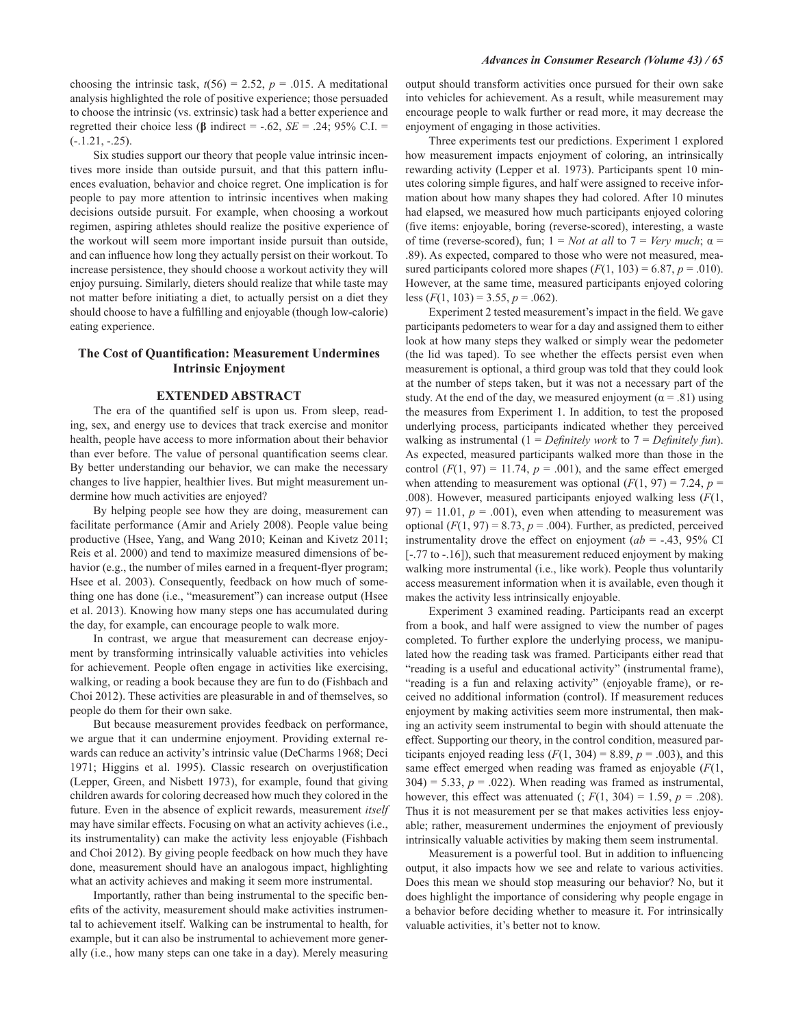choosing the intrinsic task,  $t(56) = 2.52$ ,  $p = .015$ . A meditational analysis highlighted the role of positive experience; those persuaded to choose the intrinsic (vs. extrinsic) task had a better experience and regretted their choice less ( $\beta$  indirect = -.62,  $SE = .24$ ; 95% C.I. =  $(-.1.21, -.25).$ 

Six studies support our theory that people value intrinsic incentives more inside than outside pursuit, and that this pattern influences evaluation, behavior and choice regret. One implication is for people to pay more attention to intrinsic incentives when making decisions outside pursuit. For example, when choosing a workout regimen, aspiring athletes should realize the positive experience of the workout will seem more important inside pursuit than outside, and can influence how long they actually persist on their workout. To increase persistence, they should choose a workout activity they will enjoy pursuing. Similarly, dieters should realize that while taste may not matter before initiating a diet, to actually persist on a diet they should choose to have a fulfilling and enjoyable (though low-calorie) eating experience.

# The Cost of Quantification: Measurement Undermines **Intrinsic Enjoyment**

#### **EXTENDED ABSTRACT**

The era of the quantified self is upon us. From sleep, reading, sex, and energy use to devices that track exercise and monitor health, people have access to more information about their behavior than ever before. The value of personal quantification seems clear. By better understanding our behavior, we can make the necessary changes to live happier, healthier lives. But might measurement undermine how much activities are enjoyed?

By helping people see how they are doing, measurement can facilitate performance (Amir and Ariely 2008). People value being productive (Hsee, Yang, and Wang 2010; Keinan and Kivetz 2011; Reis et al. 2000) and tend to maximize measured dimensions of behavior (e.g., the number of miles earned in a frequent-flyer program; Hsee et al. 2003). Consequently, feedback on how much of something one has done (i.e., "measurement") can increase output (Hsee et al. 2013). Knowing how many steps one has accumulated during the day, for example, can encourage people to walk more.

In contrast, we argue that measurement can decrease enjoyment by transforming intrinsically valuable activities into vehicles for achievement. People often engage in activities like exercising. walking, or reading a book because they are fun to do (Fishbach and Choi 2012). These activities are pleasurable in and of themselves, so people do them for their own sake.

But because measurement provides feedback on performance, we argue that it can undermine enjoyment. Providing external rewards can reduce an activity's intrinsic value (DeCharms 1968; Deci 1971; Higgins et al. 1995). Classic research on overjustification (Lepper, Green, and Nisbett 1973), for example, found that giving children awards for coloring decreased how much they colored in the future. Even in the absence of explicit rewards, measurement itself may have similar effects. Focusing on what an activity achieves (i.e., its instrumentality) can make the activity less enjoyable (Fishbach and Choi 2012). By giving people feedback on how much they have done, measurement should have an analogous impact, highlighting what an activity achieves and making it seem more instrumental.

Importantly, rather than being instrumental to the specific benefits of the activity, measurement should make activities instrumental to achievement itself. Walking can be instrumental to health, for example, but it can also be instrumental to achievement more generally (i.e., how many steps can one take in a day). Merely measuring

output should transform activities once pursued for their own sake into vehicles for achievement. As a result, while measurement may encourage people to walk further or read more, it may decrease the enjoyment of engaging in those activities.

Three experiments test our predictions. Experiment 1 explored how measurement impacts enjoyment of coloring, an intrinsically rewarding activity (Lepper et al. 1973). Participants spent 10 minutes coloring simple figures, and half were assigned to receive information about how many shapes they had colored. After 10 minutes had elapsed, we measured how much participants enjoyed coloring (five items: enjoyable, boring (reverse-scored), interesting, a waste of time (reverse-scored), fun;  $1 = Not$  at all to  $7 = Very$  much;  $\alpha =$ .89). As expected, compared to those who were not measured, measured participants colored more shapes  $(F(1, 103) = 6.87, p = .010)$ . However, at the same time, measured participants enjoyed coloring less  $(F(1, 103) = 3.55, p = .062)$ .

Experiment 2 tested measurement's impact in the field. We gave participants pedometers to wear for a day and assigned them to either look at how many steps they walked or simply wear the pedometer (the lid was taped). To see whether the effects persist even when measurement is optional, a third group was told that they could look at the number of steps taken, but it was not a necessary part of the study. At the end of the day, we measured enjoyment ( $\alpha$  = .81) using the measures from Experiment 1. In addition, to test the proposed underlying process, participants indicated whether they perceived walking as instrumental (1 = Definitely work to  $7 =$  Definitely fun). As expected, measured participants walked more than those in the control  $(F(1, 97) = 11.74, p = .001)$ , and the same effect emerged when attending to measurement was optional  $(F(1, 97) = 7.24, p =$ .008). However, measured participants enjoyed walking less  $(F(1,$  $(97) = 11.01$ ,  $p = .001$ ), even when attending to measurement was optional ( $F(1, 97) = 8.73$ ,  $p = .004$ ). Further, as predicted, perceived instrumentality drove the effect on enjoyment ( $ab = -.43$ , 95% CI  $[-.77 \text{ to } -0.16]$ , such that measurement reduced enjoyment by making walking more instrumental (i.e., like work). People thus voluntarily access measurement information when it is available, even though it makes the activity less intrinsically enjoyable.

Experiment 3 examined reading. Participants read an excerpt from a book, and half were assigned to view the number of pages completed. To further explore the underlying process, we manipulated how the reading task was framed. Participants either read that "reading is a useful and educational activity" (instrumental frame), "reading is a fun and relaxing activity" (enjoyable frame), or received no additional information (control). If measurement reduces enjoyment by making activities seem more instrumental, then making an activity seem instrumental to begin with should attenuate the effect. Supporting our theory, in the control condition, measured participants enjoyed reading less  $(F(1, 304) = 8.89, p = .003)$ , and this same effect emerged when reading was framed as enjoyable  $(F(1,$  $304$ ) = 5.33,  $p = .022$ ). When reading was framed as instrumental, however, this effect was attenuated (;  $F(1, 304) = 1.59$ ,  $p = .208$ ). Thus it is not measurement per se that makes activities less enjoyable; rather, measurement undermines the enjoyment of previously intrinsically valuable activities by making them seem instrumental.

Measurement is a powerful tool. But in addition to influencing output, it also impacts how we see and relate to various activities. Does this mean we should stop measuring our behavior? No, but it does highlight the importance of considering why people engage in a behavior before deciding whether to measure it. For intrinsically valuable activities, it's better not to know.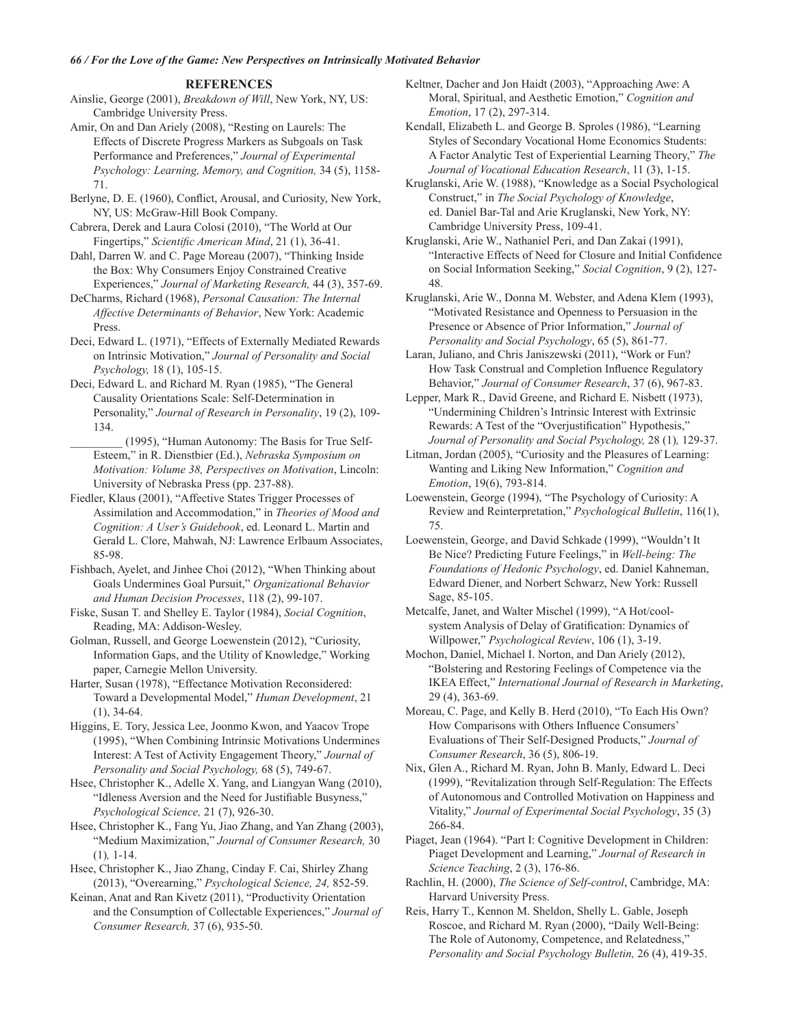#### **REFERENCES**

Ainslie, George (2001), Breakdown of Will, New York, NY, US: Cambridge University Press.

Amir, On and Dan Ariely (2008), "Resting on Laurels: The Effects of Discrete Progress Markers as Subgoals on Task Performance and Preferences," Journal of Experimental Psychology: Learning, Memory, and Cognition, 34 (5), 1158-71.

Berlyne, D. E. (1960), Conflict, Arousal, and Curiosity, New York, NY, US: McGraw-Hill Book Company.

Cabrera, Derek and Laura Colosi (2010), "The World at Our Fingertips," Scientific American Mind, 21 (1), 36-41.

Dahl, Darren W. and C. Page Moreau (2007), "Thinking Inside the Box: Why Consumers Enjoy Constrained Creative Experiences," Journal of Marketing Research, 44 (3), 357-69.

DeCharms, Richard (1968), Personal Causation: The Internal Affective Determinants of Behavior, New York: Academic Press

Deci, Edward L. (1971), "Effects of Externally Mediated Rewards on Intrinsic Motivation," Journal of Personality and Social Psychology, 18 (1), 105-15.

Deci, Edward L. and Richard M. Ryan (1985), "The General Causality Orientations Scale: Self-Determination in Personality," Journal of Research in Personality, 19 (2), 109-134.

(1995), "Human Autonomy: The Basis for True Self-Esteem," in R. Dienstbier (Ed.), Nebraska Symposium on Motivation: Volume 38, Perspectives on Motivation, Lincoln: University of Nebraska Press (pp. 237-88).

Fiedler, Klaus (2001), "Affective States Trigger Processes of Assimilation and Accommodation," in Theories of Mood and Cognition: A User's Guidebook, ed. Leonard L. Martin and Gerald L. Clore, Mahwah, NJ: Lawrence Erlbaum Associates, 85-98.

Fishbach, Ayelet, and Jinhee Choi (2012), "When Thinking about Goals Undermines Goal Pursuit," Organizational Behavior and Human Decision Processes, 118 (2), 99-107.

Fiske, Susan T. and Shelley E. Taylor (1984), Social Cognition, Reading, MA: Addison-Wesley.

Golman, Russell, and George Loewenstein (2012), "Curiosity, Information Gaps, and the Utility of Knowledge," Working paper, Carnegie Mellon University.

Harter, Susan (1978), "Effectance Motivation Reconsidered: Toward a Developmental Model," Human Development, 21  $(1), 34-64.$ 

Higgins, E. Tory, Jessica Lee, Joonmo Kwon, and Yaacov Trope (1995), "When Combining Intrinsic Motivations Undermines Interest: A Test of Activity Engagement Theory," Journal of Personality and Social Psychology, 68 (5), 749-67.

Hsee, Christopher K., Adelle X. Yang, and Liangyan Wang (2010), "Idleness Aversion and the Need for Justifiable Busyness," Psychological Science, 21 (7), 926-30.

Hsee, Christopher K., Fang Yu, Jiao Zhang, and Yan Zhang (2003), "Medium Maximization," Journal of Consumer Research, 30  $(1), 1-14.$ 

Hsee, Christopher K., Jiao Zhang, Cinday F. Cai, Shirley Zhang (2013), "Overearning," Psychological Science, 24, 852-59.

Keinan, Anat and Ran Kivetz (2011), "Productivity Orientation and the Consumption of Collectable Experiences," Journal of Consumer Research, 37 (6), 935-50.

Keltner, Dacher and Jon Haidt (2003), "Approaching Awe: A Moral, Spiritual, and Aesthetic Emotion," Cognition and Emotion, 17 (2), 297-314.

Kendall, Elizabeth L. and George B. Sproles (1986), "Learning Styles of Secondary Vocational Home Economics Students: A Factor Analytic Test of Experiential Learning Theory," The Journal of Vocational Education Research, 11 (3), 1-15.

Kruglanski, Arie W. (1988), "Knowledge as a Social Psychological Construct," in The Social Psychology of Knowledge, ed. Daniel Bar-Tal and Arie Kruglanski, New York, NY: Cambridge University Press, 109-41.

Kruglanski, Arie W., Nathaniel Peri, and Dan Zakai (1991), "Interactive Effects of Need for Closure and Initial Confidence on Social Information Seeking," Social Cognition, 9 (2), 127-48.

Kruglanski, Arie W., Donna M. Webster, and Adena Klem (1993), "Motivated Resistance and Openness to Persuasion in the Presence or Absence of Prior Information," Journal of Personality and Social Psychology, 65 (5), 861-77.

Laran, Juliano, and Chris Janiszewski (2011), "Work or Fun? How Task Construal and Completion Influence Regulatory Behavior," Journal of Consumer Research, 37 (6), 967-83.

Lepper, Mark R., David Greene, and Richard E. Nisbett (1973). "Undermining Children's Intrinsic Interest with Extrinsic Rewards: A Test of the "Overjustification" Hypothesis," Journal of Personality and Social Psychology, 28 (1), 129-37.

Litman, Jordan (2005), "Curiosity and the Pleasures of Learning: Wanting and Liking New Information," Cognition and Emotion, 19(6), 793-814.

Loewenstein, George (1994), "The Psychology of Curiosity: A Review and Reinterpretation," Psychological Bulletin, 116(1), 75.

Loewenstein, George, and David Schkade (1999), "Wouldn't It Be Nice? Predicting Future Feelings," in Well-being: The Foundations of Hedonic Psychology, ed. Daniel Kahneman, Edward Diener, and Norbert Schwarz, New York: Russell Sage, 85-105.

Metcalfe, Janet, and Walter Mischel (1999), "A Hot/coolsystem Analysis of Delay of Gratification: Dynamics of Willpower," Psychological Review, 106 (1), 3-19.

Mochon, Daniel, Michael I. Norton, and Dan Ariely (2012), "Bolstering and Restoring Feelings of Competence via the IKEA Effect," International Journal of Research in Marketing, 29 (4), 363-69.

Moreau, C. Page, and Kelly B. Herd (2010), "To Each His Own? How Comparisons with Others Influence Consumers' Evaluations of Their Self-Designed Products," Journal of Consumer Research, 36 (5), 806-19.

Nix, Glen A., Richard M. Ryan, John B. Manly, Edward L. Deci (1999), "Revitalization through Self-Regulation: The Effects of Autonomous and Controlled Motivation on Happiness and Vitality," Journal of Experimental Social Psychology, 35 (3) 266-84.

Piaget, Jean (1964). "Part I: Cognitive Development in Children: Piaget Development and Learning," Journal of Research in Science Teaching, 2 (3), 176-86.

Rachlin, H. (2000), The Science of Self-control, Cambridge, MA: Harvard University Press.

Reis, Harry T., Kennon M. Sheldon, Shelly L. Gable, Joseph Roscoe, and Richard M. Ryan (2000), "Daily Well-Being: The Role of Autonomy, Competence, and Relatedness," Personality and Social Psychology Bulletin, 26 (4), 419-35.